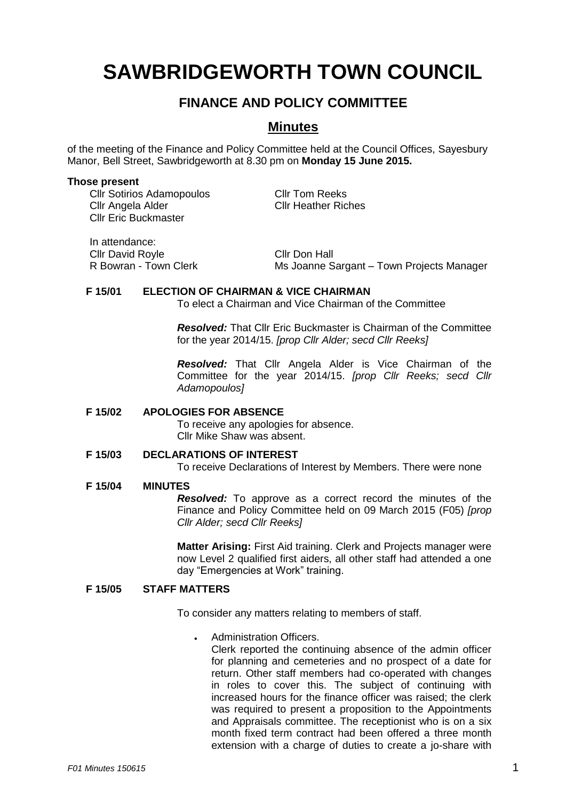# **SAWBRIDGEWORTH TOWN COUNCIL**

# **FINANCE AND POLICY COMMITTEE**

# **Minutes**

of the meeting of the Finance and Policy Committee held at the Council Offices, Sayesbury Manor, Bell Street, Sawbridgeworth at 8.30 pm on **Monday 15 June 2015.**

#### **Those present**

Cllr Sotirios Adamopoulos Cllr Tom Reeks Cllr Angela Alder Cllr Heather Riches Cllr Eric Buckmaster

In attendance: Cllr David Royle<br>
R Bowran - Town Clerk<br>
Ms Joanne S

Ms Joanne Sargant – Town Projects Manager

## **F 15/01 ELECTION OF CHAIRMAN & VICE CHAIRMAN**

To elect a Chairman and Vice Chairman of the Committee

*Resolved:* That Cllr Eric Buckmaster is Chairman of the Committee for the year 2014/15. *[prop Cllr Alder; secd Cllr Reeks]*

*Resolved:* That Cllr Angela Alder is Vice Chairman of the Committee for the year 2014/15. *[prop Cllr Reeks; secd Cllr Adamopoulos]*

## **F 15/02 APOLOGIES FOR ABSENCE**

To receive any apologies for absence. Cllr Mike Shaw was absent.

#### **F 15/03 DECLARATIONS OF INTEREST**

To receive Declarations of Interest by Members. There were none

#### **F 15/04 MINUTES**

*Resolved:* To approve as a correct record the minutes of the Finance and Policy Committee held on 09 March 2015 (F05) *[prop Cllr Alder; secd Cllr Reeks]*

**Matter Arising:** First Aid training. Clerk and Projects manager were now Level 2 qualified first aiders, all other staff had attended a one day "Emergencies at Work" training.

## **F 15/05 STAFF MATTERS**

To consider any matters relating to members of staff.

## Administration Officers.

Clerk reported the continuing absence of the admin officer for planning and cemeteries and no prospect of a date for return. Other staff members had co-operated with changes in roles to cover this. The subject of continuing with increased hours for the finance officer was raised; the clerk was required to present a proposition to the Appointments and Appraisals committee. The receptionist who is on a six month fixed term contract had been offered a three month extension with a charge of duties to create a jo-share with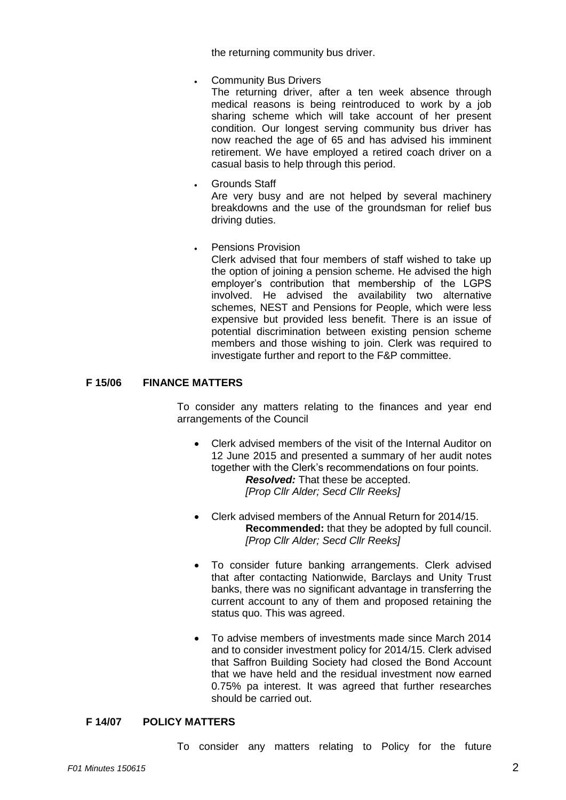the returning community bus driver.

Community Bus Drivers

The returning driver, after a ten week absence through medical reasons is being reintroduced to work by a job sharing scheme which will take account of her present condition. Our longest serving community bus driver has now reached the age of 65 and has advised his imminent retirement. We have employed a retired coach driver on a casual basis to help through this period.

- Grounds Staff Are very busy and are not helped by several machinery breakdowns and the use of the groundsman for relief bus driving duties.
- Pensions Provision

Clerk advised that four members of staff wished to take up the option of joining a pension scheme. He advised the high employer's contribution that membership of the LGPS involved. He advised the availability two alternative schemes, NEST and Pensions for People, which were less expensive but provided less benefit. There is an issue of potential discrimination between existing pension scheme members and those wishing to join. Clerk was required to investigate further and report to the F&P committee.

#### **F 15/06 FINANCE MATTERS**

To consider any matters relating to the finances and year end arrangements of the Council

- Clerk advised members of the visit of the Internal Auditor on 12 June 2015 and presented a summary of her audit notes together with the Clerk's recommendations on four points. *Resolved:* That these be accepted. *[Prop Cllr Alder; Secd Cllr Reeks]*
- Clerk advised members of the Annual Return for 2014/15. **Recommended:** that they be adopted by full council. *[Prop Cllr Alder; Secd Cllr Reeks]*
- To consider future banking arrangements. Clerk advised that after contacting Nationwide, Barclays and Unity Trust banks, there was no significant advantage in transferring the current account to any of them and proposed retaining the status quo. This was agreed.
- To advise members of investments made since March 2014 and to consider investment policy for 2014/15. Clerk advised that Saffron Building Society had closed the Bond Account that we have held and the residual investment now earned 0.75% pa interest. It was agreed that further researches should be carried out.

#### **F 14/07 POLICY MATTERS**

To consider any matters relating to Policy for the future